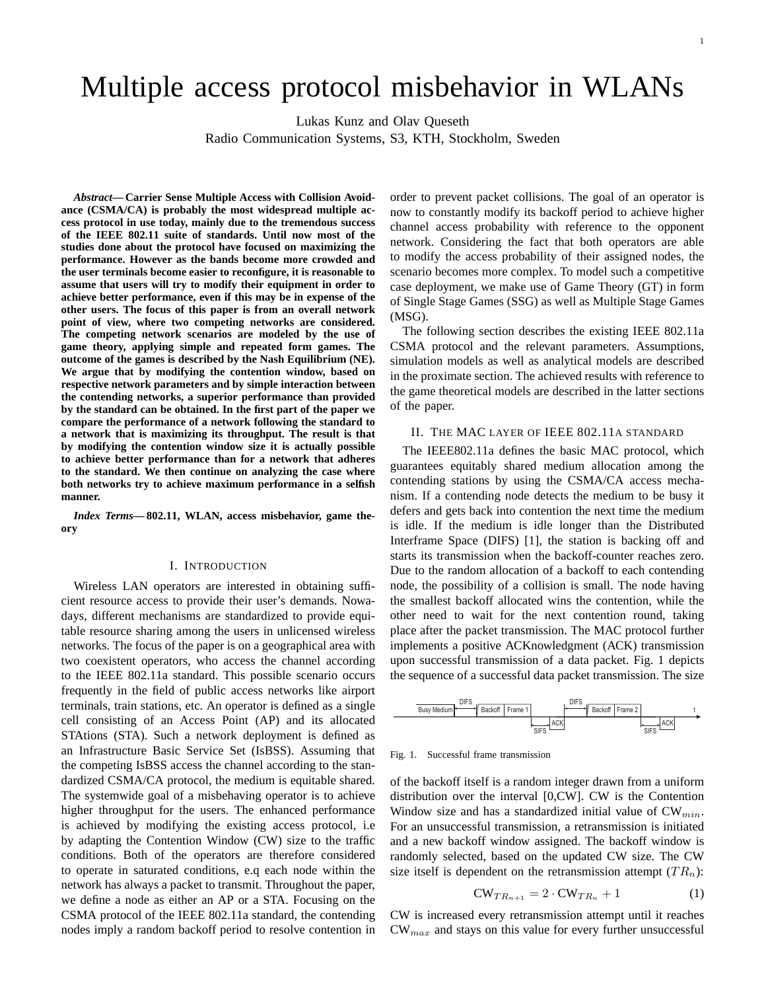# Multiple access protocol misbehavior in WLANs

Lukas Kunz and Olav Queseth

Radio Communication Systems, S3, KTH, Stockholm, Sweden

*Abstract***— Carrier Sense Multiple Access with Collision Avoidance (CSMA/CA) is probably the most widespread multiple access protocol in use today, mainly due to the tremendous success of the IEEE 802.11 suite of standards. Until now most of the studies done about the protocol have focused on maximizing the performance. However as the bands become more crowded and the user terminals become easier to reconfigure, it is reasonable to assume that users will try to modify their equipment in order to achieve better performance, even if this may be in expense of the other users. The focus of this paper is from an overall network point of view, where two competing networks are considered. The competing network scenarios are modeled by the use of game theory, applying simple and repeated form games. The outcome of the games is described by the Nash Equilibrium (NE). We argue that by modifying the contention window, based on respective network parameters and by simple interaction between the contending networks, a superior performance than provided by the standard can be obtained. In the first part of the paper we compare the performance of a network following the standard to a network that is maximizing its throughput. The result is that by modifying the contention window size it is actually possible to achieve better performance than for a network that adheres to the standard. We then continue on analyzing the case where both networks try to achieve maximum performance in a selfish manner.**

*Index Terms***— 802.11, WLAN, access misbehavior, game theory**

# I. INTRODUCTION

Wireless LAN operators are interested in obtaining sufficient resource access to provide their user's demands. Nowadays, different mechanisms are standardized to provide equitable resource sharing among the users in unlicensed wireless networks. The focus of the paper is on a geographical area with two coexistent operators, who access the channel according to the IEEE 802.11a standard. This possible scenario occurs frequently in the field of public access networks like airport terminals, train stations, etc. An operator is defined as a single cell consisting of an Access Point (AP) and its allocated STAtions (STA). Such a network deployment is defined as an Infrastructure Basic Service Set (IsBSS). Assuming that the competing IsBSS access the channel according to the standardized CSMA/CA protocol, the medium is equitable shared. The systemwide goal of a misbehaving operator is to achieve higher throughput for the users. The enhanced performance is achieved by modifying the existing access protocol, i.e by adapting the Contention Window (CW) size to the traffic conditions. Both of the operators are therefore considered to operate in saturated conditions, e.q each node within the network has always a packet to transmit. Throughout the paper, we define a node as either an AP or a STA. Focusing on the CSMA protocol of the IEEE 802.11a standard, the contending nodes imply a random backoff period to resolve contention in order to prevent packet collisions. The goal of an operator is now to constantly modify its backoff period to achieve higher channel access probability with reference to the opponent network. Considering the fact that both operators are able to modify the access probability of their assigned nodes, the scenario becomes more complex. To model such a competitive case deployment, we make use of Game Theory (GT) in form of Single Stage Games (SSG) as well as Multiple Stage Games (MSG).

The following section describes the existing IEEE 802.11a CSMA protocol and the relevant parameters. Assumptions, simulation models as well as analytical models are described in the proximate section. The achieved results with reference to the game theoretical models are described in the latter sections of the paper.

# II. THE MAC LAYER OF IEEE 802.11A STANDARD

The IEEE802.11a defines the basic MAC protocol, which guarantees equitably shared medium allocation among the contending stations by using the CSMA/CA access mechanism. If a contending node detects the medium to be busy it defers and gets back into contention the next time the medium is idle. If the medium is idle longer than the Distributed Interframe Space (DIFS) [1], the station is backing off and starts its transmission when the backoff-counter reaches zero. Due to the random allocation of a backoff to each contending node, the possibility of a collision is small. The node having the smallest backoff allocated wins the contention, while the other need to wait for the next contention round, taking place after the packet transmission. The MAC protocol further implements a positive ACKnowledgment (ACK) transmission upon successful transmission of a data packet. Fig. 1 depicts the sequence of a successful data packet transmission. The size



Fig. 1. Successful frame transmission

of the backoff itself is a random integer drawn from a uniform distribution over the interval [0,CW]. CW is the Contention Window size and has a standardized initial value of  $CW_{min}$ . For an unsuccessful transmission, a retransmission is initiated and a new backoff window assigned. The backoff window is randomly selected, based on the updated CW size. The CW size itself is dependent on the retransmission attempt  $(T R_n)$ :

$$
CW_{TR_{n+1}} = 2 \cdot CW_{TR_n} + 1 \tag{1}
$$

CW is increased every retransmission attempt until it reaches  $CW_{max}$  and stays on this value for every further unsuccessful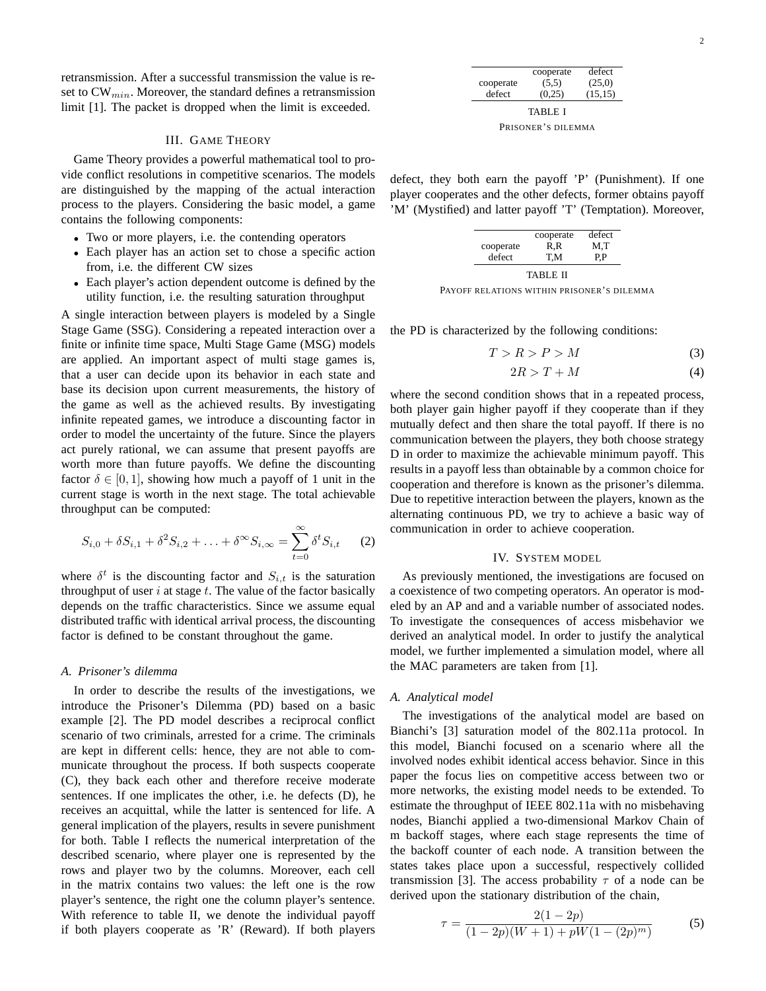retransmission. After a successful transmission the value is reset to  $CW_{min}$ . Moreover, the standard defines a retransmission limit [1]. The packet is dropped when the limit is exceeded.

# III. GAME THEORY

Game Theory provides a powerful mathematical tool to provide conflict resolutions in competitive scenarios. The models are distinguished by the mapping of the actual interaction process to the players. Considering the basic model, a game contains the following components:

- Two or more players, i.e. the contending operators
- Each player has an action set to chose a specific action from, i.e. the different CW sizes
- Each player's action dependent outcome is defined by the utility function, i.e. the resulting saturation throughput

A single interaction between players is modeled by a Single Stage Game (SSG). Considering a repeated interaction over a finite or infinite time space, Multi Stage Game (MSG) models are applied. An important aspect of multi stage games is, that a user can decide upon its behavior in each state and base its decision upon current measurements, the history of the game as well as the achieved results. By investigating infinite repeated games, we introduce a discounting factor in order to model the uncertainty of the future. Since the players act purely rational, we can assume that present payoffs are worth more than future payoffs. We define the discounting factor  $\delta \in [0, 1]$ , showing how much a payoff of 1 unit in the current stage is worth in the next stage. The total achievable throughput can be computed:

$$
S_{i,0} + \delta S_{i,1} + \delta^2 S_{i,2} + \ldots + \delta^{\infty} S_{i,\infty} = \sum_{t=0}^{\infty} \delta^t S_{i,t}
$$
 (2)

where  $\delta^t$  is the discounting factor and  $S_{i,t}$  is the saturation throughput of user  $i$  at stage  $t$ . The value of the factor basically depends on the traffic characteristics. Since we assume equal distributed traffic with identical arrival process, the discounting factor is defined to be constant throughout the game.

#### *A. Prisoner's dilemma*

In order to describe the results of the investigations, we introduce the Prisoner's Dilemma (PD) based on a basic example [2]. The PD model describes a reciprocal conflict scenario of two criminals, arrested for a crime. The criminals are kept in different cells: hence, they are not able to communicate throughout the process. If both suspects cooperate (C), they back each other and therefore receive moderate sentences. If one implicates the other, i.e. he defects (D), he receives an acquittal, while the latter is sentenced for life. A general implication of the players, results in severe punishment for both. Table I reflects the numerical interpretation of the described scenario, where player one is represented by the rows and player two by the columns. Moreover, each cell in the matrix contains two values: the left one is the row player's sentence, the right one the column player's sentence. With reference to table II, we denote the individual payoff if both players cooperate as 'R' (Reward). If both players

| cooperate          | cooperate<br>(5,5) | defect<br>(25,0) |  |  |
|--------------------|--------------------|------------------|--|--|
| defect             | (0.25)             | (15, 15)         |  |  |
| <b>TABLE I</b>     |                    |                  |  |  |
| PRISONER'S DILEMMA |                    |                  |  |  |

defect, they both earn the payoff 'P' (Punishment). If one player cooperates and the other defects, former obtains payoff 'M' (Mystified) and latter payoff 'T' (Temptation). Moreover,

| defect | cooperate | cooperate<br>R.R | defect<br>M.T |
|--------|-----------|------------------|---------------|
|--------|-----------|------------------|---------------|

PAYOFF RELATIONS WITHIN PRISONER'S DILEMMA

the PD is characterized by the following conditions:

$$
T > R > P > M \tag{3}
$$

$$
2R > T + M \tag{4}
$$

where the second condition shows that in a repeated process, both player gain higher payoff if they cooperate than if they mutually defect and then share the total payoff. If there is no communication between the players, they both choose strategy D in order to maximize the achievable minimum payoff. This results in a payoff less than obtainable by a common choice for cooperation and therefore is known as the prisoner's dilemma. Due to repetitive interaction between the players, known as the alternating continuous PD, we try to achieve a basic way of communication in order to achieve cooperation.

#### IV. SYSTEM MODEL

As previously mentioned, the investigations are focused on a coexistence of two competing operators. An operator is modeled by an AP and and a variable number of associated nodes. To investigate the consequences of access misbehavior we derived an analytical model. In order to justify the analytical model, we further implemented a simulation model, where all the MAC parameters are taken from [1].

#### *A. Analytical model*

The investigations of the analytical model are based on Bianchi's [3] saturation model of the 802.11a protocol. In this model, Bianchi focused on a scenario where all the involved nodes exhibit identical access behavior. Since in this paper the focus lies on competitive access between two or more networks, the existing model needs to be extended. To estimate the throughput of IEEE 802.11a with no misbehaving nodes, Bianchi applied a two-dimensional Markov Chain of m backoff stages, where each stage represents the time of the backoff counter of each node. A transition between the states takes place upon a successful, respectively collided transmission [3]. The access probability  $\tau$  of a node can be derived upon the stationary distribution of the chain,

$$
\tau = \frac{2(1 - 2p)}{(1 - 2p)(W + 1) + pW(1 - (2p)^m)}
$$
(5)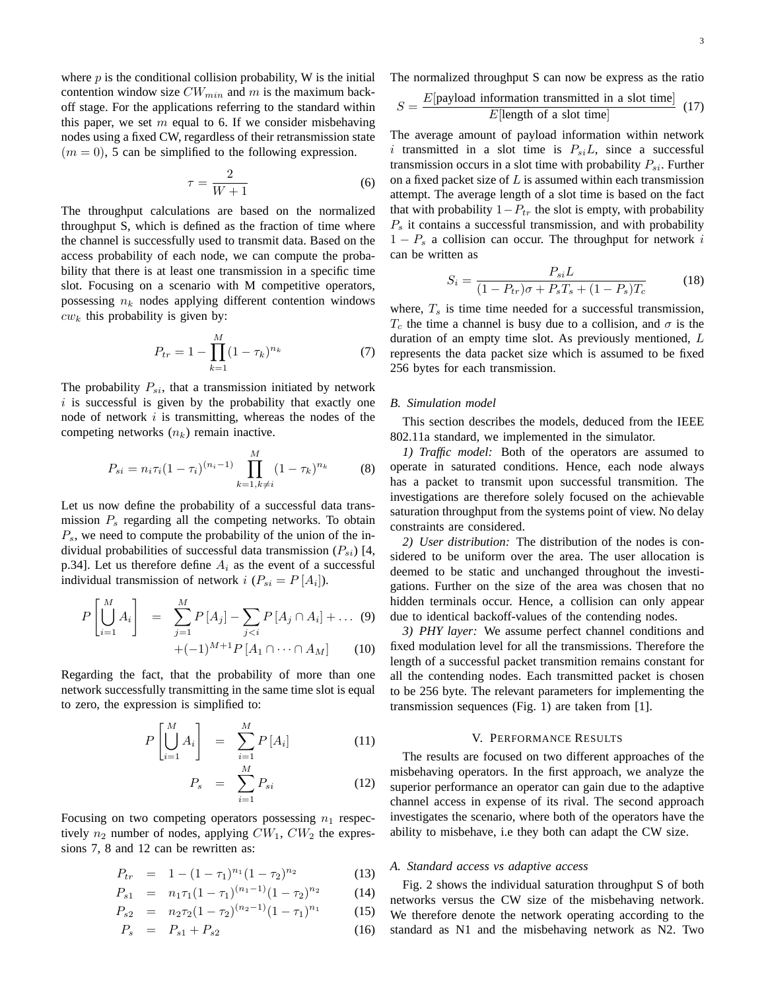where  $p$  is the conditional collision probability, W is the initial contention window size  $CW_{min}$  and m is the maximum backoff stage. For the applications referring to the standard within this paper, we set  $m$  equal to 6. If we consider misbehaving nodes using a fixed CW, regardless of their retransmission state  $(m = 0)$ , 5 can be simplified to the following expression.

$$
\tau = \frac{2}{W+1} \tag{6}
$$

The throughput calculations are based on the normalized throughput S, which is defined as the fraction of time where the channel is successfully used to transmit data. Based on the access probability of each node, we can compute the probability that there is at least one transmission in a specific time slot. Focusing on a scenario with M competitive operators, possessing  $n_k$  nodes applying different contention windows  $cw_k$  this probability is given by:

$$
P_{tr} = 1 - \prod_{k=1}^{M} (1 - \tau_k)^{n_k} \tag{7}
$$

The probability  $P_{si}$ , that a transmission initiated by network  $i$  is successful is given by the probability that exactly one node of network  $i$  is transmitting, whereas the nodes of the competing networks  $(n_k)$  remain inactive.

$$
P_{si} = n_i \tau_i (1 - \tau_i)^{(n_i - 1)} \prod_{k=1, k \neq i}^{M} (1 - \tau_k)^{n_k}
$$
 (8)

Let us now define the probability of a successful data transmission  $P_s$  regarding all the competing networks. To obtain  $P_s$ , we need to compute the probability of the union of the individual probabilities of successful data transmission  $(P_{si})$  [4, p.34]. Let us therefore define  $A_i$  as the event of a successful individual transmission of network  $i$   $(P_{si} = P[A_i])$ .

$$
P\left[\bigcup_{i=1}^{M} A_i\right] = \sum_{j=1}^{M} P\left[A_j\right] - \sum_{j < i} P\left[A_j \cap A_i\right] + \dots \tag{9}
$$

$$
+(-1)^{M+1}P\left[A_1\cap\cdots\cap A_M\right] \qquad (10)
$$

Regarding the fact, that the probability of more than one network successfully transmitting in the same time slot is equal to zero, the expression is simplified to:

$$
P\left[\bigcup_{i=1}^{M} A_i\right] = \sum_{i=1}^{M} P\left[A_i\right] \tag{11}
$$

$$
P_s = \sum_{i=1}^{M} P_{si} \tag{12}
$$

Focusing on two competing operators possessing  $n_1$  respectively  $n_2$  number of nodes, applying  $CW_1$ ,  $CW_2$  the expressions 7, 8 and 12 can be rewritten as:

$$
P_{tr} = 1 - (1 - \tau_1)^{n_1} (1 - \tau_2)^{n_2} \tag{13}
$$

$$
P_{s1} = n_1 \tau_1 (1 - \tau_1)^{(n_1 - 1)} (1 - \tau_2)^{n_2} \tag{14}
$$

$$
P_{s2} = n_2 \tau_2 (1 - \tau_2)^{(n_2 - 1)} (1 - \tau_1)^{n_1} \tag{15}
$$

$$
P_s = P_{s1} + P_{s2} \tag{16}
$$

The normalized throughput S can now be express as the ratio

$$
S = \frac{E[\text{payload information transmitted in a slot time}]}{E[\text{length of a slot time}]}
$$
(17)

The average amount of payload information within network i transmitted in a slot time is  $P_{si}L$ , since a successful transmission occurs in a slot time with probability  $P_{si}$ . Further on a fixed packet size of  $L$  is assumed within each transmission attempt. The average length of a slot time is based on the fact that with probability  $1-P_{tr}$  the slot is empty, with probability  $P<sub>s</sub>$  it contains a successful transmission, and with probability  $1 - P_s$  a collision can occur. The throughput for network i can be written as

$$
S_i = \frac{P_{si}L}{(1 - P_{tr})\sigma + P_sT_s + (1 - P_s)T_c}
$$
(18)

where,  $T_s$  is time time needed for a successful transmission,  $T_c$  the time a channel is busy due to a collision, and  $\sigma$  is the duration of an empty time slot. As previously mentioned, L represents the data packet size which is assumed to be fixed 256 bytes for each transmission.

#### *B. Simulation model*

This section describes the models, deduced from the IEEE 802.11a standard, we implemented in the simulator.

*1) Traffic model:* Both of the operators are assumed to operate in saturated conditions. Hence, each node always has a packet to transmit upon successful transmition. The investigations are therefore solely focused on the achievable saturation throughput from the systems point of view. No delay constraints are considered.

*2) User distribution:* The distribution of the nodes is considered to be uniform over the area. The user allocation is deemed to be static and unchanged throughout the investigations. Further on the size of the area was chosen that no hidden terminals occur. Hence, a collision can only appear due to identical backoff-values of the contending nodes.

*3) PHY layer:* We assume perfect channel conditions and fixed modulation level for all the transmissions. Therefore the length of a successful packet transmition remains constant for all the contending nodes. Each transmitted packet is chosen to be 256 byte. The relevant parameters for implementing the transmission sequences (Fig. 1) are taken from [1].

# V. PERFORMANCE RESULTS

The results are focused on two different approaches of the misbehaving operators. In the first approach, we analyze the superior performance an operator can gain due to the adaptive channel access in expense of its rival. The second approach investigates the scenario, where both of the operators have the ability to misbehave, i.e they both can adapt the CW size.

## *A. Standard access vs adaptive access*

Fig. 2 shows the individual saturation throughput S of both networks versus the CW size of the misbehaving network. We therefore denote the network operating according to the standard as N1 and the misbehaving network as N2. Two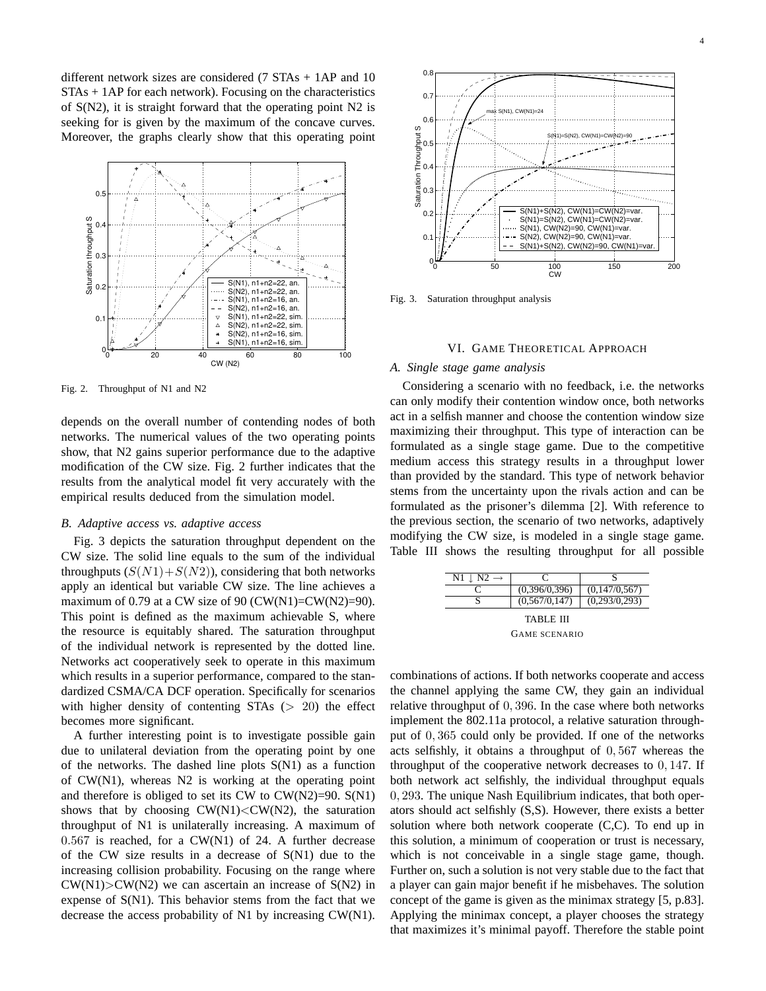different network sizes are considered (7 STAs + 1AP and 10  $STAs + 1AP$  for each network). Focusing on the characteristics of S(N2), it is straight forward that the operating point N2 is seeking for is given by the maximum of the concave curves. Moreover, the graphs clearly show that this operating point



Fig. 2. Throughput of N1 and N2

depends on the overall number of contending nodes of both networks. The numerical values of the two operating points show, that N2 gains superior performance due to the adaptive modification of the CW size. Fig. 2 further indicates that the results from the analytical model fit very accurately with the empirical results deduced from the simulation model.

#### *B. Adaptive access vs. adaptive access*

Fig. 3 depicts the saturation throughput dependent on the CW size. The solid line equals to the sum of the individual throughputs  $(S(N1) + S(N2))$ , considering that both networks apply an identical but variable CW size. The line achieves a maximum of 0.79 at a CW size of 90 (CW(N1)=CW(N2)=90). This point is defined as the maximum achievable S, where the resource is equitably shared. The saturation throughput of the individual network is represented by the dotted line. Networks act cooperatively seek to operate in this maximum which results in a superior performance, compared to the standardized CSMA/CA DCF operation. Specifically for scenarios with higher density of contenting  $STAs$  ( $> 20$ ) the effect becomes more significant.

A further interesting point is to investigate possible gain due to unilateral deviation from the operating point by one of the networks. The dashed line plots S(N1) as a function of CW(N1), whereas N2 is working at the operating point and therefore is obliged to set its CW to  $CW(N2)=90$ .  $S(N1)$ shows that by choosing  $CW(N1) < CW(N2)$ , the saturation throughput of N1 is unilaterally increasing. A maximum of  $0.567$  is reached, for a CW(N1) of 24. A further decrease of the CW size results in a decrease of S(N1) due to the increasing collision probability. Focusing on the range where  $CW(N1) > CW(N2)$  we can ascertain an increase of  $S(N2)$  in expense of S(N1). This behavior stems from the fact that we decrease the access probability of N1 by increasing CW(N1).



Fig. 3. Saturation throughput analysis

## VI. GAME THEORETICAL APPROACH

# *A. Single stage game analysis*

Considering a scenario with no feedback, i.e. the networks can only modify their contention window once, both networks act in a selfish manner and choose the contention window size maximizing their throughput. This type of interaction can be formulated as a single stage game. Due to the competitive medium access this strategy results in a throughput lower than provided by the standard. This type of network behavior stems from the uncertainty upon the rivals action and can be formulated as the prisoner's dilemma [2]. With reference to the previous section, the scenario of two networks, adaptively modifying the CW size, is modeled in a single stage game. Table III shows the resulting throughput for all possible

| $N1 \perp N2 \rightarrow$ | C             |               |  |  |
|---------------------------|---------------|---------------|--|--|
|                           | (0,396/0,396) | (0,147/0,567) |  |  |
|                           | (0,567/0,147) | (0,293/0,293) |  |  |
| TABLE III                 |               |               |  |  |
| <b>GAME SCENARIO</b>      |               |               |  |  |

combinations of actions. If both networks cooperate and access the channel applying the same CW, they gain an individual relative throughput of 0, 396. In the case where both networks implement the 802.11a protocol, a relative saturation throughput of 0, 365 could only be provided. If one of the networks acts selfishly, it obtains a throughput of 0, 567 whereas the throughput of the cooperative network decreases to 0, 147. If both network act selfishly, the individual throughput equals 0, 293. The unique Nash Equilibrium indicates, that both operators should act selfishly (S,S). However, there exists a better solution where both network cooperate (C,C). To end up in this solution, a minimum of cooperation or trust is necessary, which is not conceivable in a single stage game, though. Further on, such a solution is not very stable due to the fact that a player can gain major benefit if he misbehaves. The solution concept of the game is given as the minimax strategy [5, p.83]. Applying the minimax concept, a player chooses the strategy that maximizes it's minimal payoff. Therefore the stable point